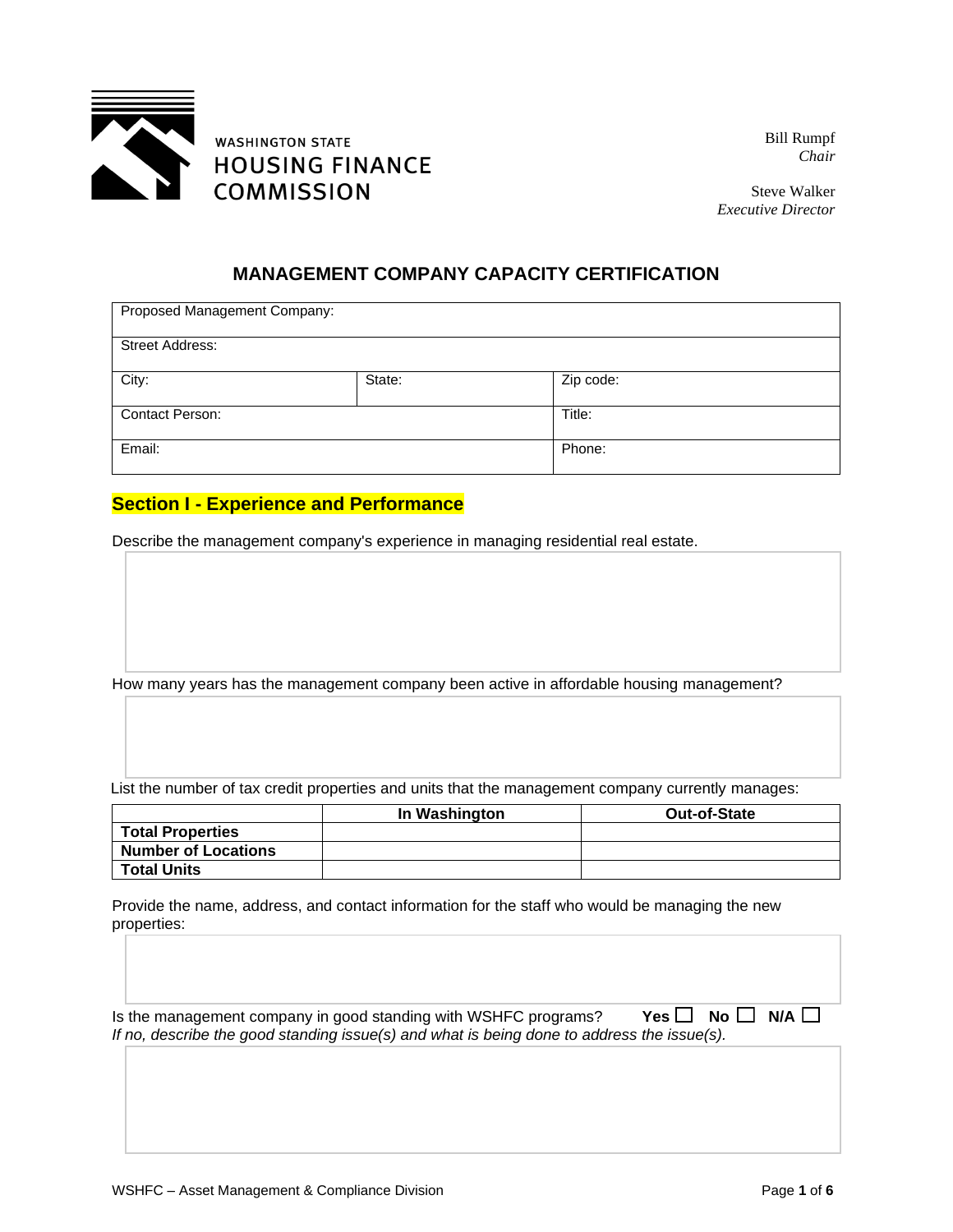

Bill Rumpf *Chair*

Steve Walker *Executive Director*

### **MANAGEMENT COMPANY CAPACITY CERTIFICATION**

| Proposed Management Company: |        |           |  |
|------------------------------|--------|-----------|--|
| <b>Street Address:</b>       |        |           |  |
| City:                        | State: | Zip code: |  |
| <b>Contact Person:</b>       |        | Title:    |  |
| Email:                       |        | Phone:    |  |

#### **Section I - Experience and Performance**

Describe the management company's experience in managing residential real estate.

How many years has the management company been active in affordable housing management?

List the number of tax credit properties and units that the management company currently manages:

|                            | In Washington | <b>Out-of-State</b> |
|----------------------------|---------------|---------------------|
| <b>Total Properties</b>    |               |                     |
| <b>Number of Locations</b> |               |                     |
| <b>Total Units</b>         |               |                     |

Provide the name, address, and contact information for the staff who would be managing the new properties:

Is the management company in good standing with WSHFC programs? **Yes**  $\Box$  **No**  $\Box$  **N/A**  $\Box$ *If no, describe the good standing issue(s) and what is being done to address the issue(s).*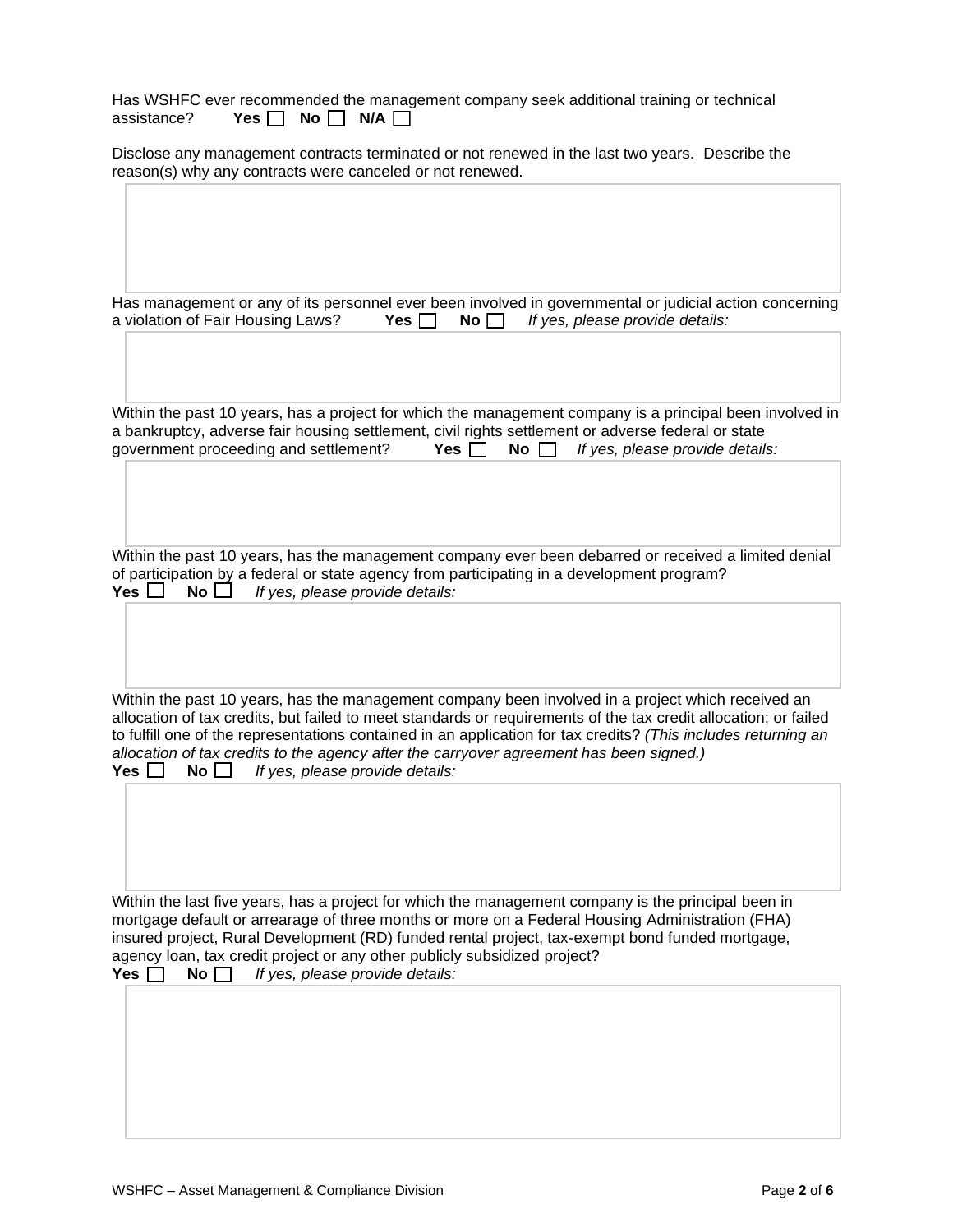|             | Has WSHFC ever recommended the management company seek additional training or technical |  |  |  |
|-------------|-----------------------------------------------------------------------------------------|--|--|--|
| assistance? | Yes $\Box$ No $\Box$ N/A $\Box$                                                         |  |  |  |

Disclose any management contracts terminated or not renewed in the last two years. Describe the reason(s) why any contracts were canceled or not renewed.

|                                   |  | Has management or any of its personnel ever been involved in governmental or judicial action concerning |
|-----------------------------------|--|---------------------------------------------------------------------------------------------------------|
| a violation of Fair Housing Laws? |  | <b>Yes</b> $\Box$ <b>No</b> $\Box$ <i>If yes, please provide details:</i>                               |

Within the past 10 years, has a project for which the management company is a principal been involved in a bankruptcy, adverse fair housing settlement, civil rights settlement or adverse federal or state government proceeding and settlement? **Yes No** *If yes, please provide details:*

Within the past 10 years, has the management company ever been debarred or received a limited denial of participation by a federal or state agency from participating in a development program? **Yes No** *If yes, please provide details:*

Within the past 10 years, has the management company been involved in a project which received an allocation of tax credits, but failed to meet standards or requirements of the tax credit allocation; or failed to fulfill one of the representations contained in an application for tax credits? *(This includes returning an allocation of tax credits to the agency after the carryover agreement has been signed.)* **Yes** *□* **No □** *If yes, please provide details:* 

Within the last five years, has a project for which the management company is the principal been in mortgage default or arrearage of three months or more on a Federal Housing Administration (FHA) insured project, Rural Development (RD) funded rental project, tax-exempt bond funded mortgage, agency loan, tax credit project or any other publicly subsidized project? **Yes**  $\Box$  **No**  $\Box$  *If yes, please provide details:* 

WSHFC – Asset Management & Compliance Division **Page 2** of 6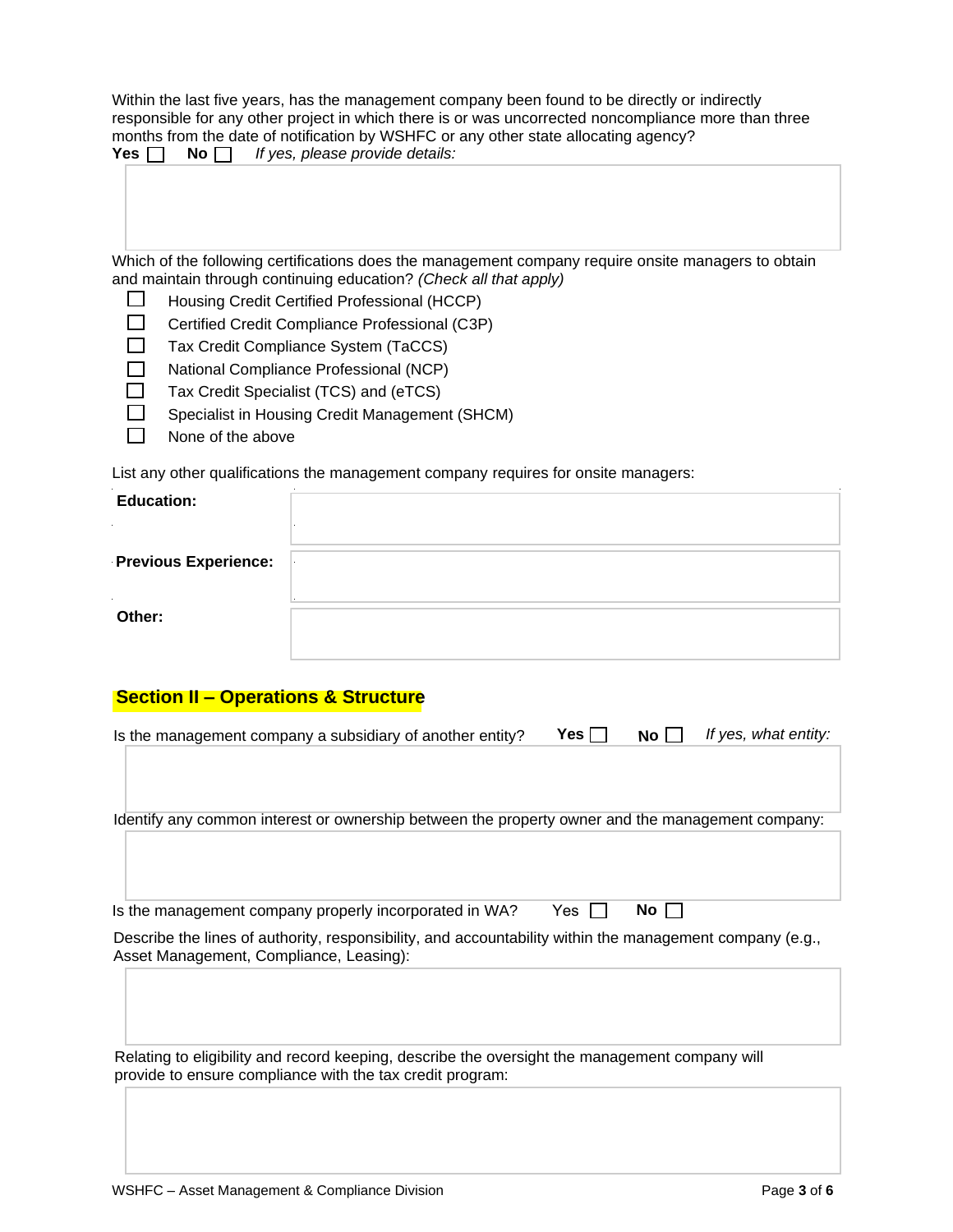Within the last five years, has the management company been found to be directly or indirectly responsible for any other project in which there is or was uncorrected noncompliance more than three months from the date of notification by WSHFC or any other state allocating agency? Yes  $\Box$  No  $\Box$  If yes, please provide details:

| Which of the following certifications does the management company require onsite managers to obtain |  |
|-----------------------------------------------------------------------------------------------------|--|
| and maintain through continuing education? (Check all that apply)                                   |  |

- $\Box$ Housing Credit Certified Professional (HCCP)
- $\Box$ Certified Credit Compliance Professional (C3P)
- $\Box$ Tax Credit Compliance System (TaCCS)
- $\Box$ National Compliance Professional (NCP)
- $\Box$ Tax Credit Specialist (TCS) and (eTCS)
- $\Box$ Specialist in Housing Credit Management (SHCM)
- П None of the above

List any other qualifications the management company requires for onsite managers:

| <b>Education:</b>           |  |
|-----------------------------|--|
| <b>Previous Experience:</b> |  |
| Other:                      |  |

#### **Section II – Operations & Structure**

| Is the management company a subsidiary of another entity?                                                                                                   | Yes ∏ | No l   | If yes, what entity: |
|-------------------------------------------------------------------------------------------------------------------------------------------------------------|-------|--------|----------------------|
|                                                                                                                                                             |       |        |                      |
| Identify any common interest or ownership between the property owner and the management company:                                                            |       |        |                      |
|                                                                                                                                                             |       |        |                      |
| Is the management company properly incorporated in WA?                                                                                                      | Yes.  | No I I |                      |
| Describe the lines of authority, responsibility, and accountability within the management company (e.g.,<br>Asset Management, Compliance, Leasing):         |       |        |                      |
|                                                                                                                                                             |       |        |                      |
| Relating to eligibility and record keeping, describe the oversight the management company will<br>provide to ensure compliance with the tax credit program: |       |        |                      |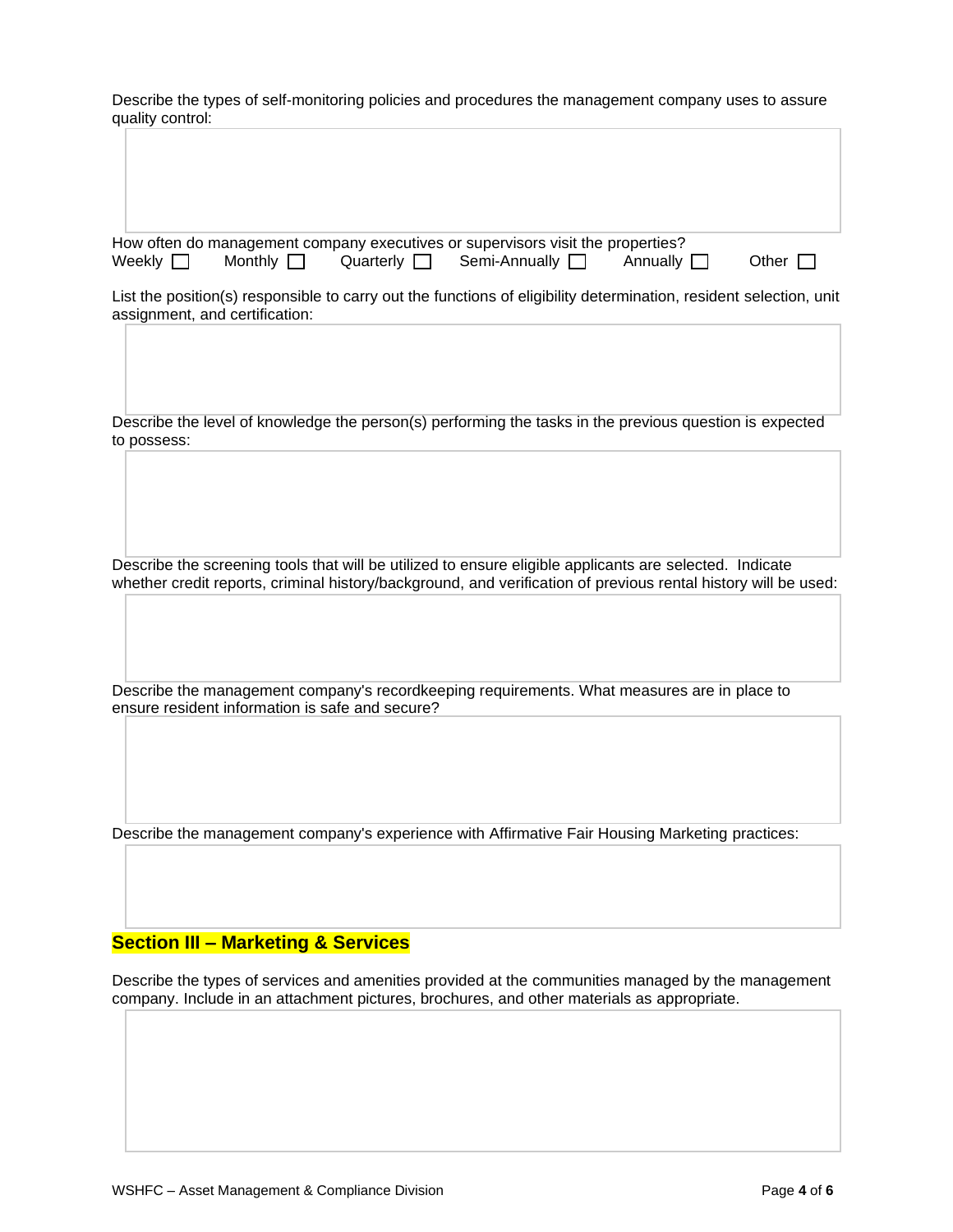Describe the types of self-monitoring policies and procedures the management company uses to assure quality control:

|               |                | How often do management company executives or supervisors visit the properties? |                 |              |
|---------------|----------------|---------------------------------------------------------------------------------|-----------------|--------------|
| Weekly $\Box$ | Monthly $\Box$ | Quarterly $\Box$ Semi-Annually $\Box$                                           | Annually $\Box$ | Other $\Box$ |

List the position(s) responsible to carry out the functions of eligibility determination, resident selection, unit assignment, and certification:

Describe the level of knowledge the person(s) performing the tasks in the previous question is expected to possess:

Describe the screening tools that will be utilized to ensure eligible applicants are selected. Indicate whether credit reports, criminal history/background, and verification of previous rental history will be used:

Describe the management company's recordkeeping requirements. What measures are in place to ensure resident information is safe and secure?

Describe the management company's experience with Affirmative Fair Housing Marketing practices:

#### **Section III – Marketing & Services**

Describe the types of services and amenities provided at the communities managed by the management company. Include in an attachment pictures, brochures, and other materials as appropriate.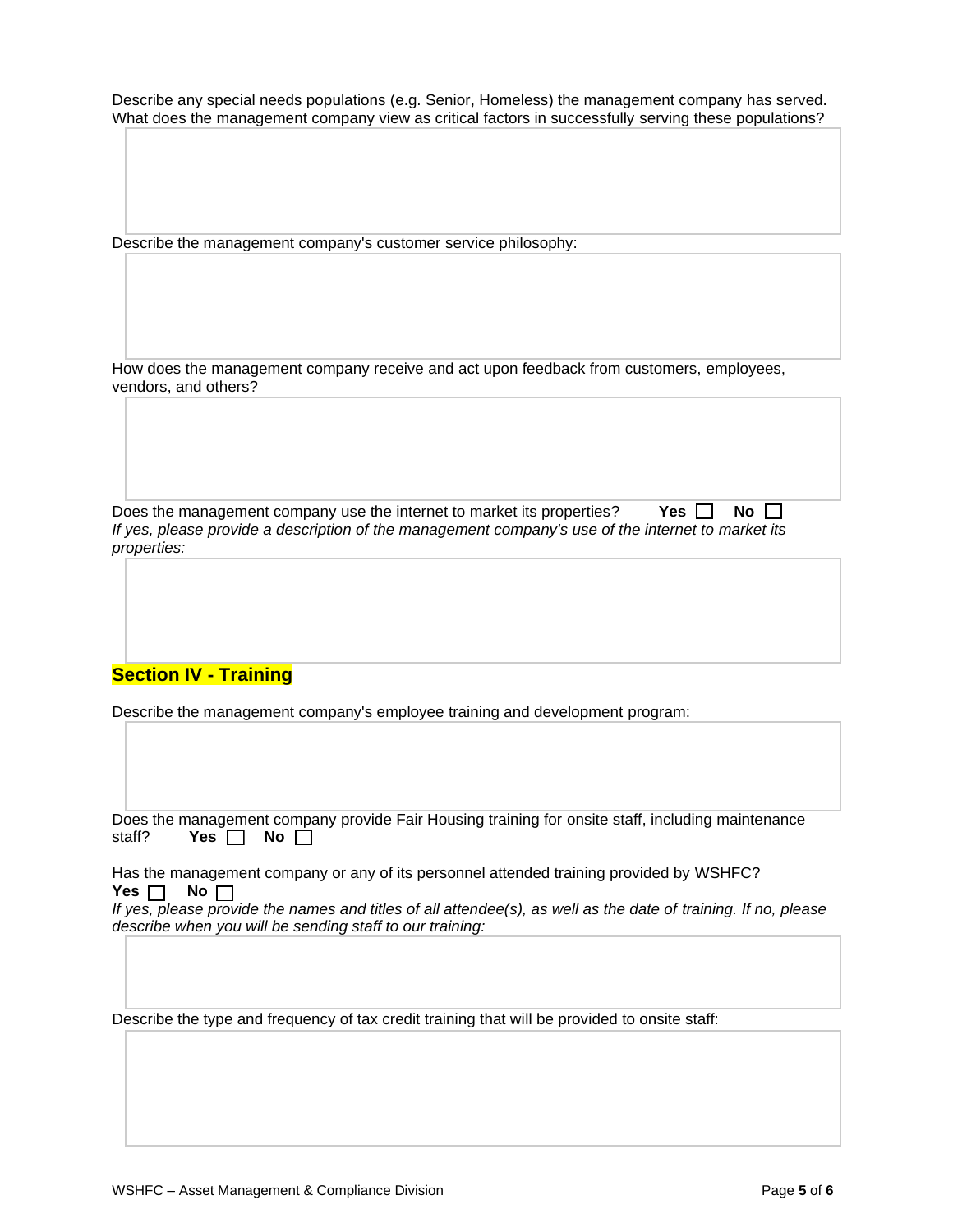Describe any special needs populations (e.g. Senior, Homeless) the management company has served. What does the management company view as critical factors in successfully serving these populations?

Describe the management company's customer service philosophy:

How does the management company receive and act upon feedback from customers, employees, vendors, and others?

Does the management company use the internet to market its properties? **Yes**  $\Box$  **No**  $\Box$ *If yes, please provide a description of the management company's use of the internet to market its properties:*

## **Section IV - Training**

Describe the management company's employee training and development program:

Does the management company provide Fair Housing training for onsite staff, including maintenance staff? **Yes**  $\Box$  **No**  $\Box$ 

Has the management company or any of its personnel attended training provided by WSHFC? Yes  $\Box$  No  $\Box$ 

*If yes, please provide the names and titles of all attendee(s), as well as the date of training. If no, please describe when you will be sending staff to our training:*

Describe the type and frequency of tax credit training that will be provided to onsite staff: